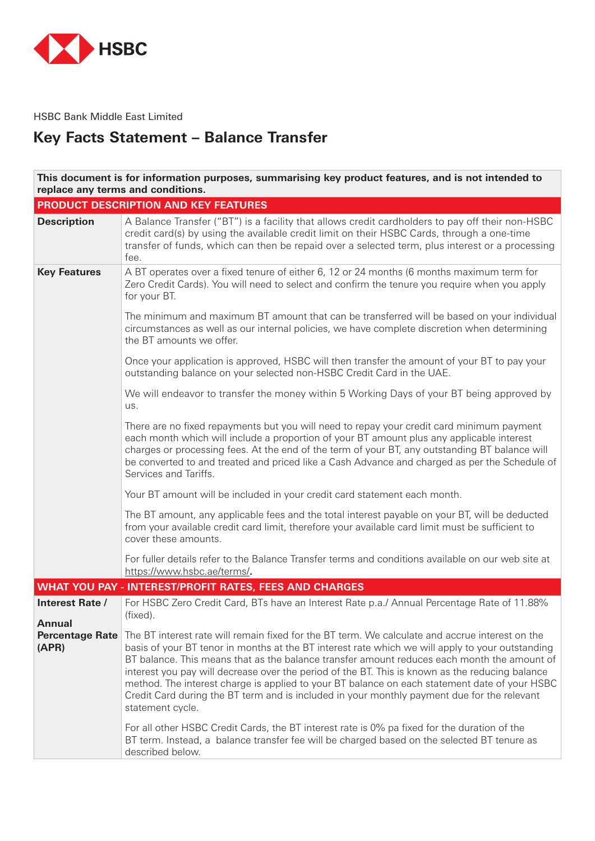

HSBC Bank Middle East Limited

# **Key Facts Statement - Balance Transfer**

| This document is for information purposes, summarising key product features, and is not intended to<br>replace any terms and conditions. |                                                                                                                                                                                                                                                                                                                                                                                                                                                                                                                                                                                                                                                                                                                                                                                                                          |  |
|------------------------------------------------------------------------------------------------------------------------------------------|--------------------------------------------------------------------------------------------------------------------------------------------------------------------------------------------------------------------------------------------------------------------------------------------------------------------------------------------------------------------------------------------------------------------------------------------------------------------------------------------------------------------------------------------------------------------------------------------------------------------------------------------------------------------------------------------------------------------------------------------------------------------------------------------------------------------------|--|
|                                                                                                                                          | PRODUCT DESCRIPTION AND KEY FEATURES                                                                                                                                                                                                                                                                                                                                                                                                                                                                                                                                                                                                                                                                                                                                                                                     |  |
| <b>Description</b>                                                                                                                       | A Balance Transfer ("BT") is a facility that allows credit cardholders to pay off their non-HSBC<br>credit card(s) by using the available credit limit on their HSBC Cards, through a one-time<br>transfer of funds, which can then be repaid over a selected term, plus interest or a processing<br>fee.                                                                                                                                                                                                                                                                                                                                                                                                                                                                                                                |  |
| <b>Key Features</b>                                                                                                                      | A BT operates over a fixed tenure of either 6, 12 or 24 months (6 months maximum term for<br>Zero Credit Cards). You will need to select and confirm the tenure you require when you apply<br>for your BT.                                                                                                                                                                                                                                                                                                                                                                                                                                                                                                                                                                                                               |  |
|                                                                                                                                          | The minimum and maximum BT amount that can be transferred will be based on your individual<br>circumstances as well as our internal policies, we have complete discretion when determining<br>the BT amounts we offer.                                                                                                                                                                                                                                                                                                                                                                                                                                                                                                                                                                                                   |  |
|                                                                                                                                          | Once your application is approved, HSBC will then transfer the amount of your BT to pay your<br>outstanding balance on your selected non-HSBC Credit Card in the UAE.                                                                                                                                                                                                                                                                                                                                                                                                                                                                                                                                                                                                                                                    |  |
|                                                                                                                                          | We will endeavor to transfer the money within 5 Working Days of your BT being approved by<br>us.                                                                                                                                                                                                                                                                                                                                                                                                                                                                                                                                                                                                                                                                                                                         |  |
|                                                                                                                                          | There are no fixed repayments but you will need to repay your credit card minimum payment<br>each month which will include a proportion of your BT amount plus any applicable interest<br>charges or processing fees. At the end of the term of your BT, any outstanding BT balance will<br>be converted to and treated and priced like a Cash Advance and charged as per the Schedule of<br>Services and Tariffs.                                                                                                                                                                                                                                                                                                                                                                                                       |  |
|                                                                                                                                          | Your BT amount will be included in your credit card statement each month.                                                                                                                                                                                                                                                                                                                                                                                                                                                                                                                                                                                                                                                                                                                                                |  |
|                                                                                                                                          | The BT amount, any applicable fees and the total interest payable on your BT, will be deducted<br>from your available credit card limit, therefore your available card limit must be sufficient to<br>cover these amounts.                                                                                                                                                                                                                                                                                                                                                                                                                                                                                                                                                                                               |  |
|                                                                                                                                          | For fuller details refer to the Balance Transfer terms and conditions available on our web site at<br>https://www.hsbc.ae/terms/.                                                                                                                                                                                                                                                                                                                                                                                                                                                                                                                                                                                                                                                                                        |  |
|                                                                                                                                          | <b>WHAT YOU PAY - INTEREST/PROFIT RATES, FEES AND CHARGES</b>                                                                                                                                                                                                                                                                                                                                                                                                                                                                                                                                                                                                                                                                                                                                                            |  |
| Interest Rate /<br><b>Annual</b>                                                                                                         | For HSBC Zero Credit Card, BTs have an Interest Rate p.a./ Annual Percentage Rate of 11.88%<br>(fixed).                                                                                                                                                                                                                                                                                                                                                                                                                                                                                                                                                                                                                                                                                                                  |  |
| <b>Percentage Rate</b><br>(APR)                                                                                                          | The BT interest rate will remain fixed for the BT term. We calculate and accrue interest on the<br>basis of your BT tenor in months at the BT interest rate which we will apply to your outstanding<br>BT balance. This means that as the balance transfer amount reduces each month the amount of<br>interest you pay will decrease over the period of the BT. This is known as the reducing balance<br>method. The interest charge is applied to your BT balance on each statement date of your HSBC<br>Credit Card during the BT term and is included in your monthly payment due for the relevant<br>statement cycle.<br>For all other HSBC Credit Cards, the BT interest rate is 0% pa fixed for the duration of the<br>BT term. Instead, a balance transfer fee will be charged based on the selected BT tenure as |  |
|                                                                                                                                          | described below.                                                                                                                                                                                                                                                                                                                                                                                                                                                                                                                                                                                                                                                                                                                                                                                                         |  |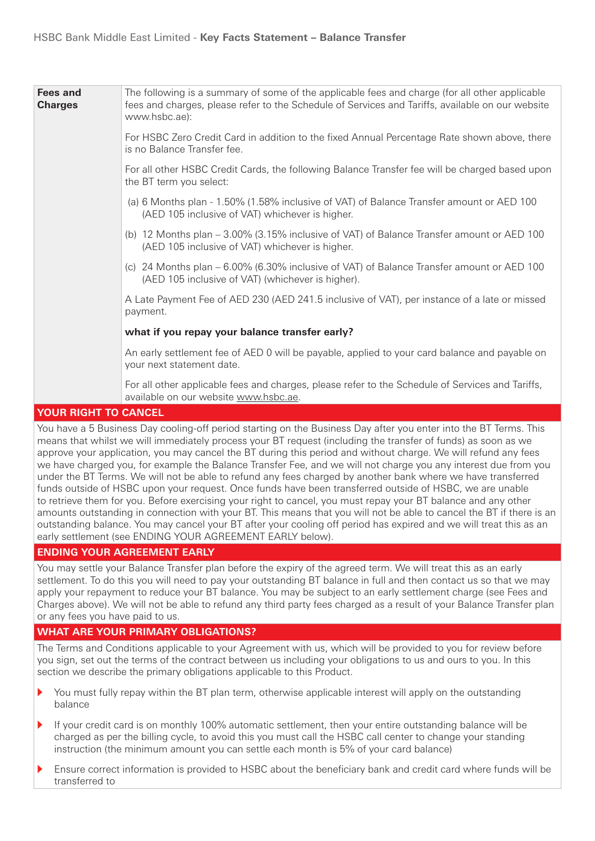| Fees and<br><b>Charges</b> | The following is a summary of some of the applicable fees and charge (for all other applicable<br>fees and charges, please refer to the Schedule of Services and Tariffs, available on our website<br>www.hsbc.ae): |
|----------------------------|---------------------------------------------------------------------------------------------------------------------------------------------------------------------------------------------------------------------|
|                            | For HSBC Zero Credit Card in addition to the fixed Annual Percentage Rate shown above, there<br>is no Balance Transfer fee.                                                                                         |
|                            | For all other HSBC Credit Cards, the following Balance Transfer fee will be charged based upon<br>the BT term you select:                                                                                           |
|                            | (a) 6 Months plan - 1.50% (1.58% inclusive of VAT) of Balance Transfer amount or AED 100<br>(AED 105 inclusive of VAT) whichever is higher.                                                                         |
|                            | (b) 12 Months plan – 3.00% (3.15% inclusive of VAT) of Balance Transfer amount or AED 100<br>(AED 105 inclusive of VAT) whichever is higher.                                                                        |
|                            | (c) 24 Months plan – 6.00% (6.30% inclusive of VAT) of Balance Transfer amount or AED 100<br>(AED 105 inclusive of VAT) (whichever is higher).                                                                      |
|                            | A Late Payment Fee of AED 230 (AED 241.5 inclusive of VAT), per instance of a late or missed<br>payment.                                                                                                            |
|                            | what if you repay your balance transfer early?                                                                                                                                                                      |
|                            | An early settlement fee of AED 0 will be payable, applied to your card balance and payable on<br>your next statement date.                                                                                          |
|                            | For all other applicable fees and charges, please refer to the Schedule of Services and Tariffs,<br>available on our website www.hsbc.ae.                                                                           |
| VOLID DICUT TO CANCEL      |                                                                                                                                                                                                                     |

### **YOUR RIGHT TO CANCEL**

You have a 5 Business Day cooling-off period starting on the Business Day after you enter into the BT Terms. This means that whilst we will immediately process your BT request (including the transfer of funds) as soon as we approve your application, you may cancel the BT during this period and without charge. We will refund any fees we have charged you, for example the Balance Transfer Fee, and we will not charge you any interest due from you under the BT Terms. We will not be able to refund any fees charged by another bank where we have transferred funds outside of HSBC upon your request. Once funds have been transferred outside of HSBC, we are unable to retrieve them for you. Before exercising your right to cancel, you must repay your BT balance and any other amounts outstanding in connection with your BT. This means that you will not be able to cancel the BT if there is an outstanding balance. You may cancel your BT after your cooling off period has expired and we will treat this as an early settlement (see ENDING YOUR AGREEMENT EARLY below).

## **ENDING YOUR AGREEMENT EARLY**

You may settle your Balance Transfer plan before the expiry of the agreed term. We will treat this as an early settlement. To do this you will need to pay your outstanding BT balance in full and then contact us so that we may apply your repayment to reduce your BT balance. You may be subject to an early settlement charge (see Fees and Charges above). We will not be able to refund any third party fees charged as a result of your Balance Transfer plan or any fees you have paid to us.

## **WHAT ARE YOUR PRIMARY OBLIGATIONS?**

The Terms and Conditions applicable to your Agreement with us, which will be provided to you for review before you sign, set out the terms of the contract between us including your obligations to us and ours to you. In this section we describe the primary obligations applicable to this Product.

- You must fully repay within the BT plan term, otherwise applicable interest will apply on the outstanding balance
- If your credit card is on monthly 100% automatic settlement, then your entire outstanding balance will be charged as per the billing cycle, to avoid this you must call the HSBC call center to change your standing instruction (the minimum amount you can settle each month is 5% of your card balance)
- Ensure correct information is provided to HSBC about the beneficiary bank and credit card where funds will be transferred to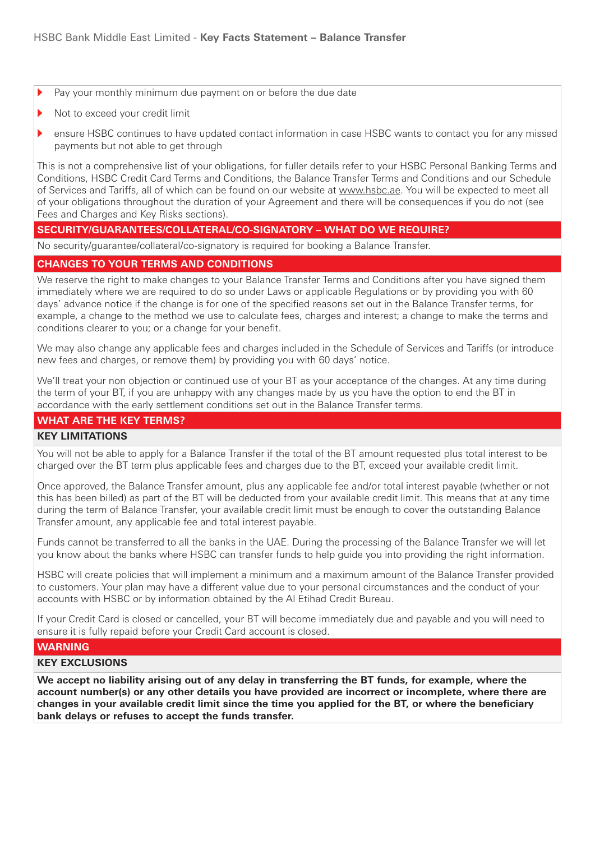- Pay your monthly minimum due payment on or before the due date
- Not to exceed your credit limit
- ensure HSBC continues to have updated contact information in case HSBC wants to contact you for any missed payments but not able to get through

This is not a comprehensive list of your obligations, for fuller details refer to your HSBC Personal Banking Terms and Conditions, HSBC Credit Card Terms and Conditions, the Balance Transfer Terms and Conditions and our Schedule of Services and Tariffs, all of which can be found on our website at www.hsbc.ae. You will be expected to meet all of your obligations throughout the duration of your Agreement and there will be consequences if you do not (see Fees and Charges and Key Risks sections).

## SECURITY/GUARANTEES/COLLATERAL/CO-SIGNATORY - WHAT DO WE REQUIRE?

No security/guarantee/collateral/co-signatory is required for booking a Balance Transfer.

### **CHANGES TO YOUR TERMS AND CONDITIONS**

We reserve the right to make changes to your Balance Transfer Terms and Conditions after you have signed them immediately where we are required to do so under Laws or applicable Requlations or by providing you with 60 days' advance notice if the change is for one of the specified reasons set out in the Balance Transfer terms, for example, a change to the method we use to calculate fees, charges and interest; a change to make the terms and conditions clearer to you; or a change for your benefit.

We may also change any applicable fees and charges included in the Schedule of Services and Tariffs (or introduce new fees and charges, or remove them) by providing you with 60 days' notice.

We'll treat your non objection or continued use of your BT as your acceptance of the changes. At any time during the term of your BT, if you are unhappy with any changes made by us you have the option to end the BT in accordance with the early settlement conditions set out in the Balance Transfer terms.

### **WHAT ARE THE KEY TERMS?**

### **KEY LIMITATIONS**

You will not be able to apply for a Balance Transfer if the total of the BT amount requested plus total interest to be charged over the BT term plus applicable fees and charges due to the BT, exceed your available credit limit.

Once approved, the Balance Transfer amount, plus any applicable fee and/or total interest payable (whether or not this has been billed) as part of the BT will be deducted from your available credit limit. This means that at any time during the term of Balance Transfer, your available credit limit must be enough to cover the outstanding Balance Transfer amount, any applicable fee and total interest payable.

Funds cannot be transferred to all the banks in the UAE. During the processing of the Balance Transfer we will let you know about the banks where HSBC can transfer funds to help quide you into providing the right information.

HSBC will create policies that will implement a minimum and a maximum amount of the Balance Transfer provided to customers. Your plan may have a different value due to your personal circumstances and the conduct of your accounts with HSBC or by information obtained by the Al Etihad Credit Bureau.

If your Credit Card is closed or cancelled, your BT will become immediately due and payable and you will need to ensure it is fully repaid before your Credit Card account is closed.

### **WARNING**

### **KEY EXCLUSIONS**

We accept no liability arising out of any delay in transferring the BT funds, for example, where the account number(s) or any other details you have provided are incorrect or incomplete, where there are changes in your available credit limit since the time you applied for the BT, or where the beneficiary bank delays or refuses to accept the funds transfer.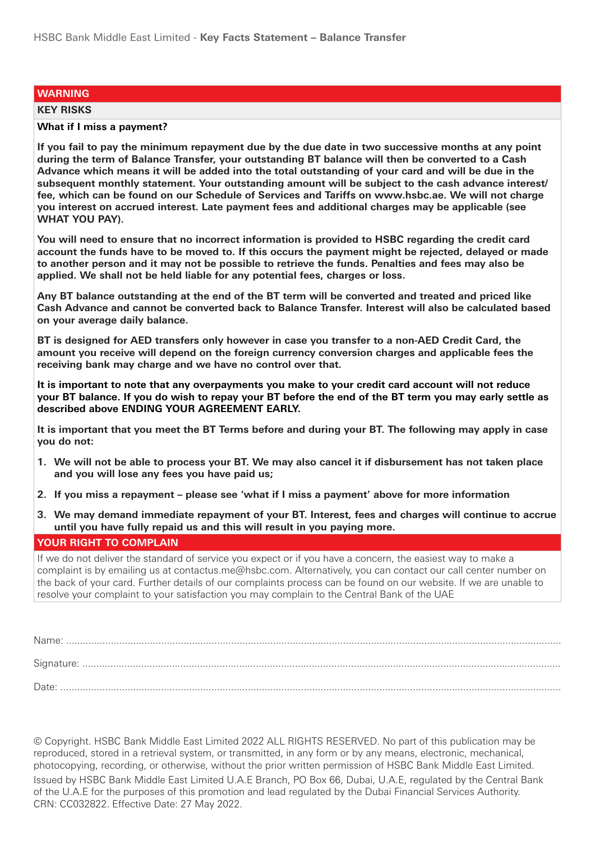### **WARNING**

#### **KEY RISKS**

### **What if I miss a payment?**

If you fail to pay the minimum repayment due by the due date in two successive months at any point during the term of Balance Transfer, your outstanding BT balance will then be converted to a Cash Advance which means it will be added into the total outstanding of your card and will be due in the subsequent monthly statement. Your outstanding amount will be subject to the cash advance interest/ fee, which can be found on our Schedule of Services and Tariffs on www.hsbc.ae. We will not charge **vou interest on accrued interest. Late payment fees and additional charges may be applicable (see WHAT YOU PAY).** 

You will need to ensure that no incorrect information is provided to HSBC regarding the credit card account the funds have to be moved to. If this occurs the payment might be rejected, delayed or made to another person and it may not be possible to retrieve the funds. Penalties and fees may also be applied. We shall not be held liable for any potential fees, charges or loss.

Any BT balance outstanding at the end of the BT term will be converted and treated and priced like **Cash Advance and cannot be converted back to Balance Transfer. Interest will also be calculated based on your average daily balance.** 

**BT** is designed for AED transfers only however in case you transfer to a non-AED Credit Card, the amount you receive will depend on the foreign currency conversion charges and applicable fees the receiving bank may charge and we have no control over that.

It is important to note that any overpayments you make to your credit card account will not reduce your BT balance. If you do wish to repay your BT before the end of the BT term you may early settle as described above ENDING YOUR AGREEMENT EARLY.

It is important that you meet the BT Terms before and during your BT. The following may apply in case you do not:

- **1.** We will not be able to process your BT. We may also cancel it if disbursement has not taken place and you will lose any fees you have paid us;
- **2.** If you miss a repayment please see 'what if I miss a payment' above for more information
- **3. We may demand immediate repayment of your BT. Interest, fees and charges will continue to accrue until you have fully repaid us and this will result in you paying more.**

### **YOUR RIGHT TO COMPLAIN**

If we do not deliver the standard of service you expect or if you have a concern, the easiest way to make a complaint is by emailing us at contactus me@hsbc.com. Alternatively, you can contact our call center number on the back of your card. Further details of our complaints process can be found on our website. If we are unable to resolve your complaint to your satisfaction you may complain to the Central Bank of the UAE

© Copyright, HSBC Bank Middle East Limited 2022 ALL RIGHTS RESERVED. No part of this publication may be reproduced, stored in a retrieval system, or transmitted, in any form or by any means, electronic, mechanical, photocopying, recording, or otherwise, without the prior written permission of HSBC Bank Middle East Limited. Issued by HSBC Bank Middle East Limited U.A.E Branch, PO Box 66, Dubai, U.A.E, regulated by the Central Bank of the U.A.E for the purposes of this promotion and lead regulated by the Dubai Financial Services Authority. CRN: CC032822. Effective Date: 27 May 2022.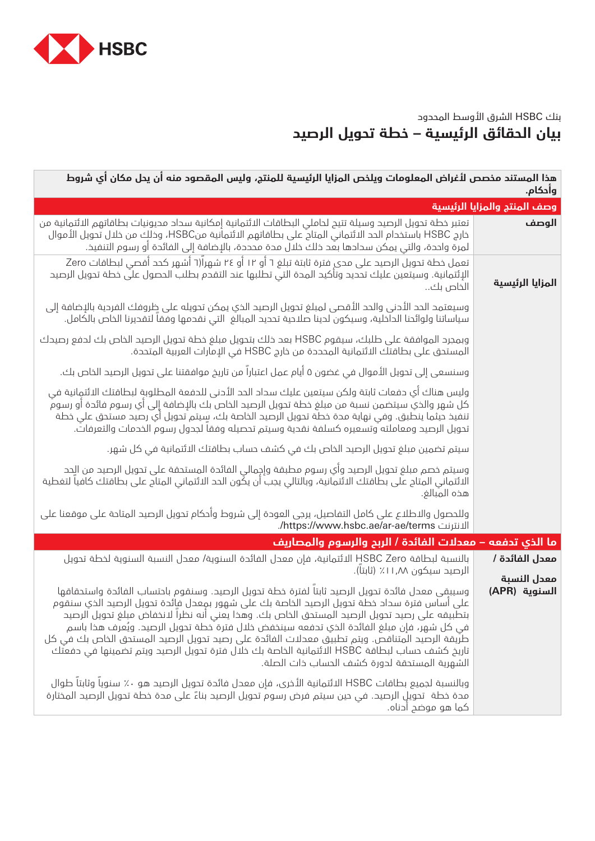

## بنك HSBC الشرق األوسط المحدود **بيان الحقائق الرئيسية – خطة تحويل الرصيد**

| هذا المستند مخصص لأغراض المعلومات ويلخص المزايا الرئيسية للمنتج، وليس المقصود منه ان يحل مكان اي شروط<br>وأدكام.                                                                                                                                                                                                                                                                                                                                                                                                                                                                                                                              |                              |  |  |
|-----------------------------------------------------------------------------------------------------------------------------------------------------------------------------------------------------------------------------------------------------------------------------------------------------------------------------------------------------------------------------------------------------------------------------------------------------------------------------------------------------------------------------------------------------------------------------------------------------------------------------------------------|------------------------------|--|--|
|                                                                                                                                                                                                                                                                                                                                                                                                                                                                                                                                                                                                                                               | وصف المنتج والمزايا الرئيسية |  |  |
| تعتبر خطة تحويل الرصيد وسيلة تتيح لحاملي البطاقات الائتمانية إمكانية سداد مديونيات بطاقاتهم الائتمانية من<br>خارج HSBC باستخدام الحد الائتماني المتاح على بطاقاتهم الائتمانية منHSBC، وخلك من خلال تحويل الأموال<br>لمرة واحدة، والتي يمكن سحادها بعد ذلك خلال مدة محددة، بالإضافة إلى الفائدة أو رسوم التنفيذ.                                                                                                                                                                                                                                                                                                                               | الوصف                        |  |  |
| تعمل خطة تحويل الرصيد على مدى فترة ثابتة تبلغ ٦ أو ١٢ أو ٢٤ شهراً(٦ أشهر كحد أقصى لبطاقات Zero<br>الإئتمانية. وسيتعين عليك تحديد وتأكيد المدة التي تطلبها عند التقدم بطلب الحصول على خطة تحويل الرصيد<br>الخاص بك                                                                                                                                                                                                                                                                                                                                                                                                                             | المزايا الرئيسية             |  |  |
| وسيعتمد الحد الأدنى والحد الأفصى لمبلغ تحويل الرصيد الذي يمكن تحويله على ظروفك الفردية بالإضافة إلى<br>سياساتنا ولوائحنا الداخلية، وسيكون لدينا صلاحية تحديد المبالغ التي نقدمها وفقا لتقديرنا الخاص بالكامل.                                                                                                                                                                                                                                                                                                                                                                                                                                 |                              |  |  |
| وبمجرد الموافقة على طلبك، سيقوم HSBC بعد ذلك بتحويل مبلغ خطة تحويل الرصيد الخاص بك لدفع رصيدك<br>المستحق على بطاقتك الائتمانية المحددة من خارج HSBC في الإمارات العربية المتحدة.                                                                                                                                                                                                                                                                                                                                                                                                                                                              |                              |  |  |
| وسنسعى إلى تحويل الأموال في غضون ٥ أيام عمل اعتباراً من تاريخ موافقتنا على تحويل الرصيد الخاص بك.                                                                                                                                                                                                                                                                                                                                                                                                                                                                                                                                             |                              |  |  |
| وليس هناك أي حفعات ثابتة ولكن سيتعين عليك سحاد الحد الأحنى للحفعة المطلوبة لبطاقتك الائتمانية في<br>كل شهر والذي سيتضمن نسبة من مبلغ خطة تحويل الرصيد الخاص بك بالإضافة إلى أي رسوم فائدة أو رسوم ۖ<br>تنفيذ حيثما ينطبق. وفي نهاية مدة خطة تحويل الرصيد الخاصة بك، سِيتم تحويل أي رصيد مستحق على خطة<br>تحويل الرصيد ومعاملته وتسعيره كسلفة نقدية وسيتم تحصيله وفقا لجدول رسوم الخدمات والتعرفات.                                                                                                                                                                                                                                            |                              |  |  |
| سيتم تضمين مبلغ تحويل الرصيد الخاص بك في كشف حساب بطاقتك الائتمانية في كل شهر.                                                                                                                                                                                                                                                                                                                                                                                                                                                                                                                                                                |                              |  |  |
| وسيتم خصم مبلغ تحويل الرصيد وأي رسوم مطبقة وإجمالي الفائدة المستحقة على تحويل الرصيد من الِحد<br>الائتماني المتاح على بطاقتك الائتمانية، وبالتالي يجب أن يكُون الحد الائتمانى المتاح على بطاقتك كافياً لتغطية<br>هذه المبالغ.                                                                                                                                                                                                                                                                                                                                                                                                                 |                              |  |  |
| وللحصول والاطلاع على كامل التفاصيل، يرجى العودة إلى شروط وأحكام تحويل الرصيد المتاحة على موقعنا على<br>الانترنت https://www.hsbc.ae/ar-ae/terms/.                                                                                                                                                                                                                                                                                                                                                                                                                                                                                             |                              |  |  |
| ما الذي تدفعه – معدلات الفائدة / الربح والرسوم والمصاريف                                                                                                                                                                                                                                                                                                                                                                                                                                                                                                                                                                                      |                              |  |  |
| بالنسبة لبطاقة HSBC Zero الائتمانية، فإن معدل الفائدة السنوية/ معدل النسبة السنوية لخطة تحويل<br>الرصيد سيكون ١١,٨٨٪ (ثابتا).                                                                                                                                                                                                                                                                                                                                                                                                                                                                                                                 | معدل الفائدة /               |  |  |
| وسيبقى معحل فائحة تحويل الرصيد ثابتاً لفترة خطة تحويل الرصيد. وسنقوم باحتساب الفائحة واستحقاقها<br>على أساس فترة سحاد خطة تحويل الرصيد الخاصة بك على شهور بمعدل فائدة تحويل الرصيد الذي سنقوم<br>بتطبيقه على رصيد تحويل الرصيد المستحق الخاص بك. وهذا يعني أنه نظرا لانخفاض مبلغ تحويل الرصيد<br>في كل شهر، فإن مبلغ الفائدة الذي تدفعه سينخفض خلال فترة خطة تحويل الرصيد. ويُعرف هذا باسم<br>طرِّيقة الرصيد المتناقص. ويتم تطبيق معدلات الفائدة على رصيد تحويل الرصيد المستحق الخاص بك في كل<br>تاريخ كشف حساب لبطاقة HSBC الائتمانية الخاصة بك خلال فترة تحويل الرصيد ويتم تضمينها في حفعتك<br>الشهرية المستحقة لدورة كشف الحساب ذات الصلة. | معدل النسبة<br>السنوية (APR) |  |  |
| وبالنسبة لجميع بطاقات HSBC الائتمانية الأخرى، فإن معدل فائدة تحويل الرصيد هو ٠٪ سنويا وثابتا طوال<br>مدة خطة  تحويل الرصيد. في حين سيتم فرض رسوم تحويل الرصيد بناءً على مدة خطة تحويل الرصيد المختارة<br>كما هو موضح ادناه.                                                                                                                                                                                                                                                                                                                                                                                                                   |                              |  |  |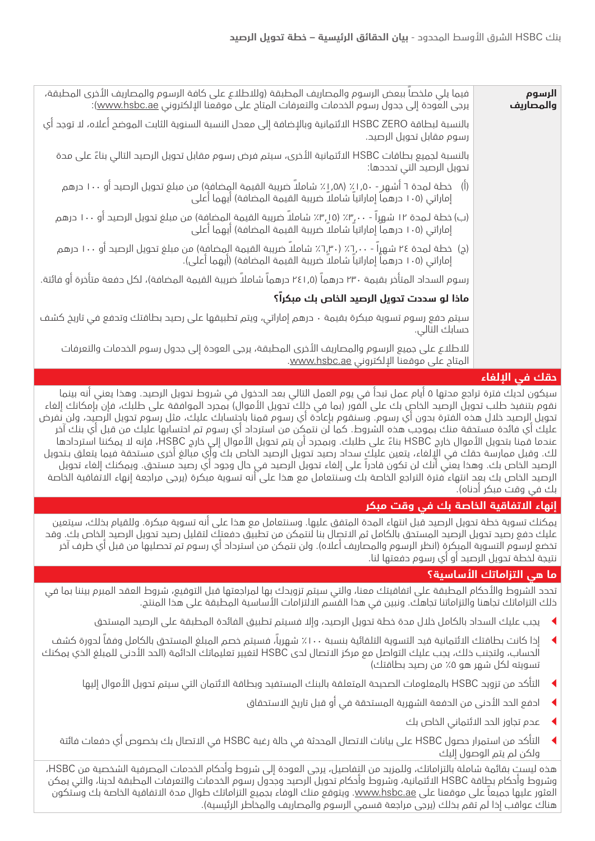| الرسوم<br>والمصاريف               | فيما يلي ملخصاً ببعض الرسوم والمصاريف المطبقة (وللاطلاع على كافة الرسوم والمصاريف الأخرى المطبقة،<br>يرجى العودة إلى جدول رسوم الخدمات والتعرفات المتاح على موقعنا الإلكتروني <u>www.hsbc.ae</u> ): |
|-----------------------------------|-----------------------------------------------------------------------------------------------------------------------------------------------------------------------------------------------------|
|                                   | بالنسبة لبطاقة HSBC ZERO الائتمانية وبالإضافة إلى معدل النسبة السنوية الثابت الموضح أعلاه، لا توجد أي<br>رسوم مقابل تحويل الرصيد.                                                                   |
|                                   | بالنسبة لجميع بطاقات HSBC الائتمانية الأخرى، سيتم فرض رسوم مقابل تحويل الرصيد التالي بناءً على مدة<br>تحويل الرصيد التي تحددها:                                                                     |
|                                   | (أ)   خطة لمحة ٦ أشهر - ٥٠, ١٪ (٥٨, ١٪ شاملاً ضريبة القيمة المِضافة) من مبلغ تحويل الرصيد أو ١٠٠ درهم<br>إماراتي (١٠٥ درهماً إماراتياً شاملاً ضريبة القيمة المضافة) أيهما أعلى                      |
|                                   | (ب) خطة لـمـدة ١٢ شـهِراً - ٠٠، ٢٠٪ (١٥,٣٪ شاملاً ضريبة القيمة المضافة) من مبلغ تحويل الرصيد أو ١٠٠ درهم<br>إماراتي (١٠٥ درهما إماراتيا شاملا ضريبة القيمة المضافة) أيهما أعلى                      |
|                                   | (ج)  خطة لمحة ٢٤ شهراً - ٦,٠٠٪ (٦,٣٠٪ شاملاً ضريبة القيمة المضافة) من مبلغ تحويل الرصيد أو ١٠٠ درهم<br>إماراتي (١٠٥ درهماً إماراتياً شاملاً ضريبة القيمة المضافة) (أيهما أعلى).                     |
|                                   | رسوم السداد المتأخر بقيمة ٢٣٠ درهماً (٢٤١٫٥ درهماً شاملاً ضريبة القيمة المضافة)، لكل دفعة متأخرة أو فائتة.                                                                                          |
|                                   | ماذا لو سددت تحويل الرصيد الخاص بك مبكراً؟                                                                                                                                                          |
|                                   | سيتم حفع رسوم تسوية مبكرة بقيمة · حرهم إماراتي، ويتم تطبيقها على رصيد بطاقتك وتحفع فى تاريخ كشف<br>حسابك التالي.                                                                                    |
|                                   | للاطلاع على جميع الرسوم والمصاريف الأخرى المطبقة، يرجى العودة إلى جدول رسوم الخدمات والتعرفات<br>المتاح على موقعنا الإلكتروني www.hsbc.ae.                                                          |
| <b>The East Education Control</b> |                                                                                                                                                                                                     |

## **حقك في اإللغاء**

سيكون لديك فترة تراجع مدتها 5 أيام عمل تبدأ في يوم العمل التالي بعد الدخول في شروط تحويل الرصيد. وهذا يعني أنه بينما نقوم بتنفيذ طلب تحويل الرصيد الخاص بك على الفور (بما في ذلك تحويل الأموال) بمجرد الموافقة على طلبك، فإن بإمكانك إلغاء تحويل الرصيد خالل هذه الفترة بدون أي رسوم. وسنقوم بإعادة أي رسوم قمنا باحتسابك عليك، مثل رسوم تحويل الرصيد، ولن نفرض عليك أي فائدة مستحقة منك بموجب هذه الشروط. كما لن نتمكن من استرداد أي رسوم تم احتسابها عليك من قبل أي بنك آخر عندما قمنا بتحويل األموال خارج HSBC ً بناء على طلبك. وبمجرد أن يتم تحويل األموال إلى خارج HSBC، فإنه ال يمكننا استردادها لك. وقبل ممارسة حقك في اإللغاء، يتعين عليك سداد رصيد تحويل الرصيد الخاص بك وأي مبالغ أخرى مستحقة فيما يتعلق بـتحويل الرصيد الخاص بك. وهذا يعني أنك لن تكون قادراً على إلغاء تحويل الرصيد في حال وجود أي رصيد مستحق. ويمكنك إلغاء تحويل الرصيد الخاص بك بعد انتهاء فترة التراجع الخاصة بك وسنتعامل مع هذا على أنه تسوية مبكرة )يرجى مراجعة إنهاء االتفاقية الخاصة بك في وقت مبكر أدناه(.

## **إنهاء االتفاقية الخاصة بك في وقت مبكر**

يمكنك تسوية خطة تحويل الرصيد قبل انتهاء المدة المتفق عليها. وسنتعامل مع هذا على أنه تسوية مبكرة. وللقيام بذلك، سيتعين عليك دفع رصيد تحويل الرصيد المستحق بالكامل ثم االتصال بنا لنتمكن من تطبيق دفعتك لتقليل رصيد تحويل الرصيد الخاص بك. وقد تخضع لرسوم التسوية المبكرة (انظر الرسوم والمصاريف أعلاه). ولن نتمكن من استرداد أي رسوم تم تحصليها من قبل أي طرف آخر نتيجة لخطة تحويل الرصيد أو أي رسوم دفعتها لنا.

## **ما هي التزاماتك األساسية؟**

تحدد الشروط واألحكام المطبقة على اتفاقيتك معنا، والتي سيتم تزويدك بها لمراجعتها قبل التوقيع، شروط العقد المبرم بيننا بما في ذلك التزاماتك تجاهنا والتزاماتنا تجاهك. ونبين في هذا القسم االلتزامات األساسية المطبقة على هذا المنتج.

- <sup>t</sup> يجب عليك السداد بالكامل خالل مدة خطة تحويل الرصيد، وإال فسيتم تطبيق الفائدة المطبقة على الرصيد المستحق
- <sup>t</sup> إذا كانت بطاقتك االئتمانية قيد التسوية التلقائية بنسبة ٪100 شهريا،ً فسيتم خصم المبلغ المستحق بالكامل وفقاً لدورة كشف الحساب، ولتجنب ذلك، يجب عليك التواصل مع مركز االتصال لدى HSBC لتغيير تعليماتك الدائمة )الحد األدنى للمبلغ الذي يمكنك تسويته لكل شهر هو 0٪ من رصيد بطاقتك)
	- <sup>t</sup> التأكد من تزويد HSBC بالمعلومات الصحيحة المتعلقة بالبنك المستفيد وبطاقة االئتمان التي سيتم تحويل األموال إليها
		- ادفع الحد الأدنى من الدفعة الشهرية المستحقة في أو قبل تاريخ الاستحقاق
			- <sup>t</sup> عدم تجاوز الحد االئتماني الخاص بك
	- <sup>t</sup> التأكد من استمرار حصول HSBC على بيانات االتصال المحدثة في حالة رغبة HSBC في االتصال بك بخصوص أي دفعات فائتة ولكن لم يتم الوصول إليك

هذه ليست بقائمة شاملة بالتزاماتك، وللمزيد من التفاصيل، يرجى العودة إلى شروط وأحكام الخدمات المصرفية الشخصية من HSBC، وشروط وأحكام بطاقة HSBC االئتمانية، وشروط وأحكام تحويل الرصيد وجدول رسوم الخدمات والتعرفات المطبقة لدينا، والتي يمكن العثور عليها جميعاً على موقعنا على <u>www.hsbc.ae.</u> ويتوقع منك الوفاء بجميع التزاماتك طوال مدة الاتفاقية الخاصة بك وستكون هناك عواقب إذا لم تقم بذلك (يرجى مراجعة قسمي الرسوم والمصاريف والمخاطر الرئيسية).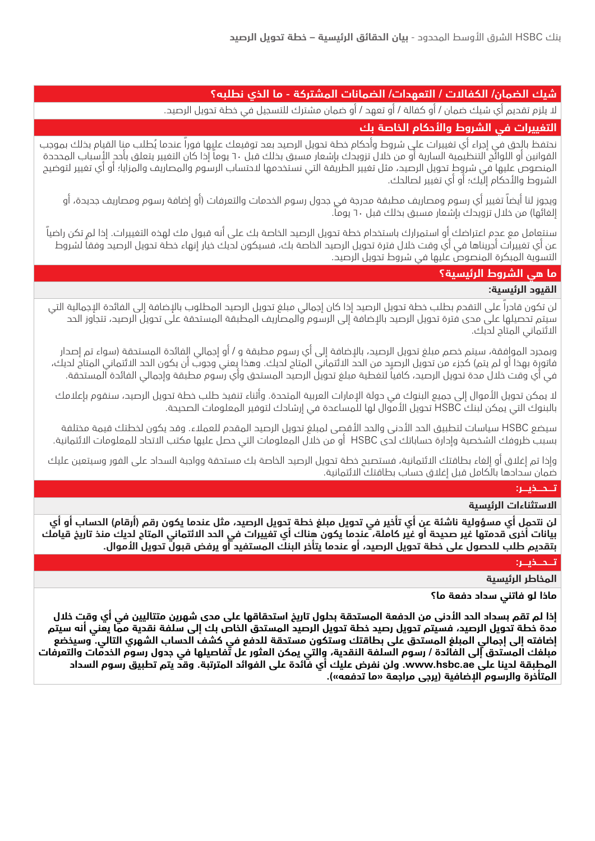## **شيك الضمان/ الكفاالت / التعهدات/ الضمانات المشتركة - ما الذي نطلبه؟**

ال يلزم تقديم أي شيك ضمان / أو كفالة / أو تعهد / أو ضمان مشترك للتسجيل في خطة تحويل الرصيد.

## **التغييرات في الشروط واألحكام الخاصة بك**

نحتفظ بالحق في إجراء أي تغييرات علي شروط وأحكام خطة تحويل الرصيد بعد توقيعك عليِها فوراً عندما يُطلب منا القيام بذلك بموجب القوانين أو اللوائح التنظيمية السارية أو من خلال تزويدك بإشعار مسبق بخلك قبل ٦٠ يوماً إذا كان التغيير يتعلق بأحد الأسباب المحددة المنصوص عليها في شروط تحويل الرصيد، مثل تغيير الطريقة التي نستخدمها الحتساب الرسوم والمصاريف والمزايا؛ أو أي تغيير لتوضيح الشروط والأحكام إليك؛ أو أي تغيير لصالحك.

ويجوز لنا أيضاً تغيير أي رسوم ومصاريف مطبقة مدرجة في جدول رسوم الخدمات والتعرفات )أو إضافة رسوم ومصاريف جديدة، أو إلغائها) من خلال تزويدك بإشعار مسبق بذلك قبل ٦٠ يوماً.

سنتعامل مع عدم اعتراضك أو استمرارك باستخدام خطة تحويل الرصيد الخاصة بك على أنه قبول مك لهذه التغييرات. إذا لم تكن راضياً عن أي تغييرات أجريناها في أي وقت خالل فترة تحويل الرصيد الخاصة بك، فسيكون لديك خيار إنهاء خطة تحويل الرصيد وفقاً لشروط التسوية المبكرة المنصوص عليها في شروط تحويل الرصيد.

## **ما هي الشروط الرئيسية؟**

### **القيود الرئيسية:**

لن تكون قادراً على التقدم بطلب خطة تحويل الرصيد إذا كان إجمالي مبلغ تحويل الرصيد المطلوب باإلضافة إلى الفائدة اإلجمالية التي سيتم تحصيلها على مدى فترة تحويل الرصيد باإلضافة إلى الرسوم والمصاريف المطبقة المستحقة على تحويل الرصيد، تتجاوز الحد االئتماني المتاح لديك.

وبمجرد الموافقة، سيتم خصم مبلغ تحويل الرصيد، بالإضافة إلى أي رسوم مطبقة و / أو إجمالي الفائدة المستحقة (سواء تم إصدار فاتورة بهذا أو لم يتم) كجزء من تحويل الرصيد من الحد الائتماني المتاح لديك. وهذا يعني وجوب أن يكون الحد الائتماني المتاح لديك، في أي وقت خالل مدة تحويل الرصيد، كافياً لتغطية مبلغ تحويل الرصيد المستحق وأي رسوم مطبقة وإجمالي الفائدة المستحقة.

لا يمكن تحويل الأموال إلى جميع البنوك في دولة الإمارات العربية المتحدة. وأثناء تنفيذ طلب خطة تحويل الرصيد، سنقوم بإعلامك بالبنوك التي يمكن لبنك HSBC تحويل األموال لها للمساعدة في إرشادك لتوفير المعلومات الصحيحة.

سيضع HSBC سياسات لتطبيق الحد الأدنى والحد الأقصى لمبلغ تحويل الرصيد المقدم للعملاء. وقد يكون لخطتك قيمة مختلفة بسبب ظروفك الشخصية وإدارة حساباتك لدى HSBC أو من خالل المعلومات التي حصل عليها مكتب االتحاد للمعلومات االئتمانية.

وإذا تم إغالق أو إلغاء بطاقتك االئتمانية، فستصبح خطة تحويل الرصيد الخاصة بك مستحقة وواجبة السداد على الفور وسيتعين عليك ضمان سدادها بالكامل قبل إغالق حساب بطاقتك االئتمانية.

### **تــــحــــذيــــر:**

## **االستثناءات الرئيسية**

**لن نتحمل أي مسؤولية ناشئة عن أي تأخير في تحويل مبلغ خطة تحويل الرصيد، مثل عندما يكون رقم )أرقام( الحساب أو أي بيانات أخرى قدمتها غير صحيحة أو غير كاملة، عندما يكون هناك أي تغييرات في الحد االئتماني المتاح لديك منذ تاريخ قيامك بتقديم طلب للحصول على خطة تحويل الرصيد، أو عندما يتأخر البنك المستفيد أو يرفض قبول تحويل األموال.**

## **تــــحــــذيــــر:**

## **المخاطر الرئيسية**

**ماذا لو فاتني سداد دفعة ما؟**

**إذا لم تقم بسداد الحد األدنى من الدفعة المستحقة بحلول تاريخ استحقاقها على مدى شهرين متتاليين في أي وقت خالل مدة خطة تحويل الرصيد، فسيتم تحويل رصيد خطة تحويل الرصيد المستحق الخاص بك إلى سلفة نقدية مما يعني أنه سيتم إضافته إلى إجمالي المبلغ المستحق على بطاقتك وستكون مستحقة للدفع في كشف الحساب الشهري التالي. وسيخضع مبلغك المستحق إلى الفائدة / رسوم السلفة النقدية، والتي يمكن العثور عل تفاصيلها في جدول رسوم الخدمات والتعرفات المطبقة لدينا على ae.hsbc.www. ولن نفرض عليك أي فائدة على الفوائد المترتبة. وقد يتم تطبيق رسوم السداد المتأخرة والرسوم اإلضافية )يرجى مراجعة »ما تدفعه«(.**